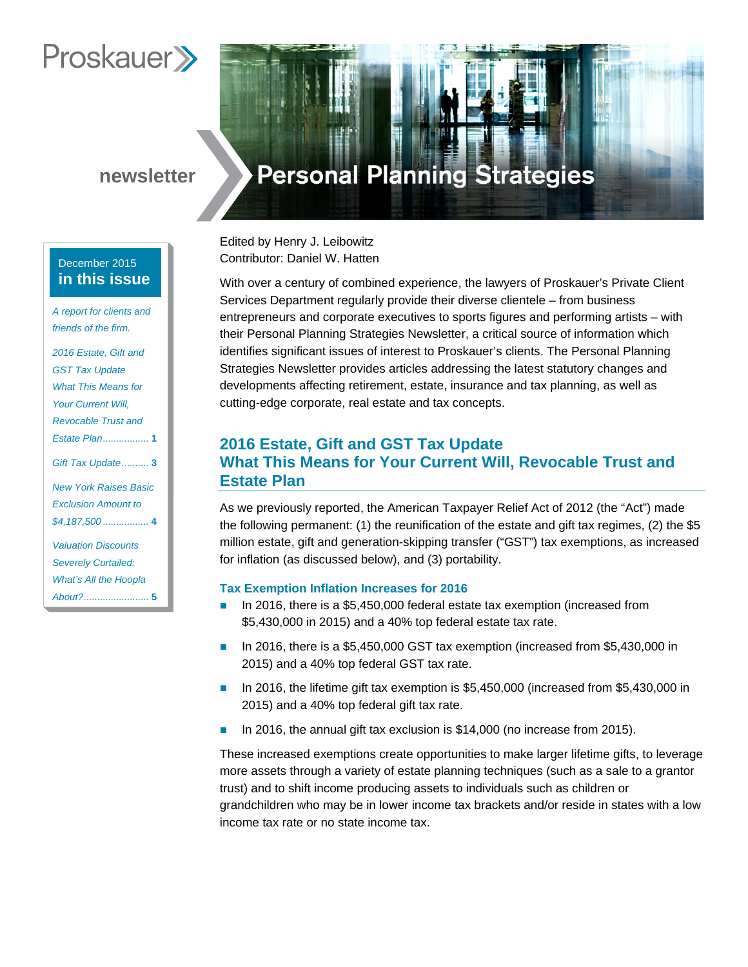# **Proskauer**

# **newsletter**

## December 2015 **in this issue**

*A report for clients and*  friends of the firm.

*2016 Estate, Gift and GST Tax Update What This Means for Your Current Will, Revocable Trust and Estate Plan.................* **1** *Gift Tax Update..........* **3** *New York Raises Basic Exclusion Amount to \$4,187,500 .................* **4** *Valuation Discounts Severely Curtailed: What's All the Hoopla About?........................* **5**

# **Personal Planning Strategies**

Edited by Henry J. Leibowitz Contributor: Daniel W. Hatten

With over a century of combined experience, the lawyers of Proskauer's Private Client Services Department regularly provide their diverse clientele – from business entrepreneurs and corporate executives to sports figures and performing artists – with their Personal Planning Strategies Newsletter, a critical source of information which identifies significant issues of interest to Proskauer's clients. The Personal Planning Strategies Newsletter provides articles addressing the latest statutory changes and developments affecting retirement, estate, insurance and tax planning, as well as cutting-edge corporate, real estate and tax concepts.

# **2016 Estate, Gift and GST Tax Update What This Means for Your Current Will, Revocable Trust and Estate Plan**

As we previously reported, the American Taxpayer Relief Act of 2012 (the "Act") made the following permanent: (1) the reunification of the estate and gift tax regimes, (2) the \$5 million estate, gift and generation-skipping transfer ("GST") tax exemptions, as increased for inflation (as discussed below), and (3) portability.

## **Tax Exemption Inflation Increases for 2016**

- In 2016, there is a \$5,450,000 federal estate tax exemption (increased from \$5,430,000 in 2015) and a 40% top federal estate tax rate.
- In 2016, there is a \$5,450,000 GST tax exemption (increased from \$5,430,000 in 2015) and a 40% top federal GST tax rate.
- In 2016, the lifetime gift tax exemption is \$5,450,000 (increased from \$5,430,000 in 2015) and a 40% top federal gift tax rate.
- In 2016, the annual gift tax exclusion is \$14,000 (no increase from 2015).

These increased exemptions create opportunities to make larger lifetime gifts, to leverage more assets through a variety of estate planning techniques (such as a sale to a grantor trust) and to shift income producing assets to individuals such as children or grandchildren who may be in lower income tax brackets and/or reside in states with a low income tax rate or no state income tax.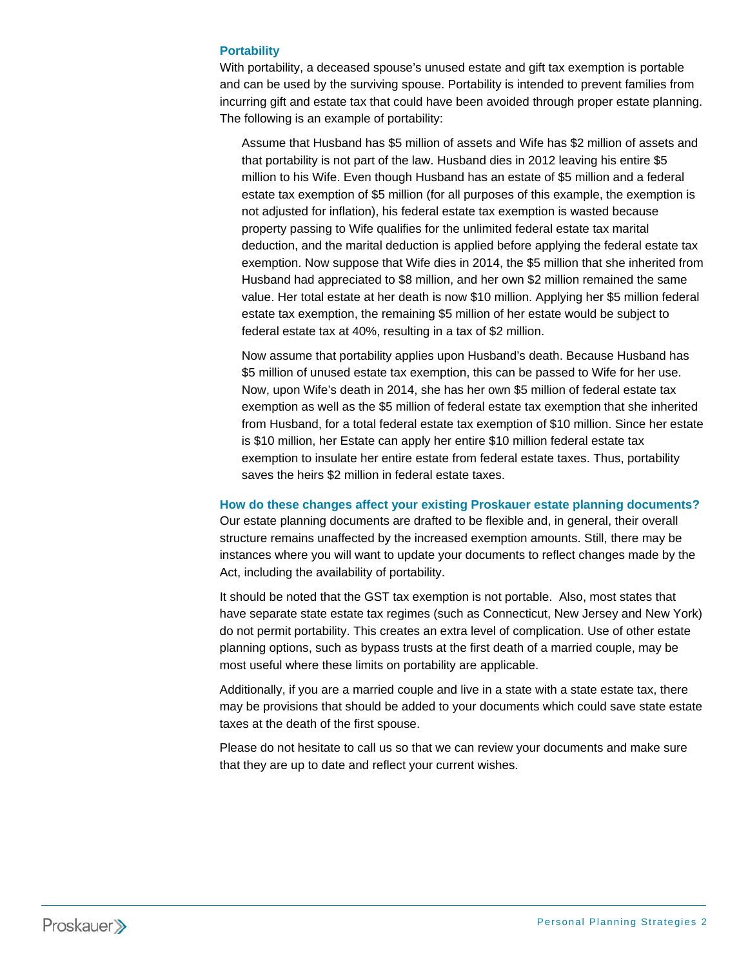## **Portability**

With portability, a deceased spouse's unused estate and gift tax exemption is portable and can be used by the surviving spouse. Portability is intended to prevent families from incurring gift and estate tax that could have been avoided through proper estate planning. The following is an example of portability:

Assume that Husband has \$5 million of assets and Wife has \$2 million of assets and that portability is not part of the law. Husband dies in 2012 leaving his entire \$5 million to his Wife. Even though Husband has an estate of \$5 million and a federal estate tax exemption of \$5 million (for all purposes of this example, the exemption is not adjusted for inflation), his federal estate tax exemption is wasted because property passing to Wife qualifies for the unlimited federal estate tax marital deduction, and the marital deduction is applied before applying the federal estate tax exemption. Now suppose that Wife dies in 2014, the \$5 million that she inherited from Husband had appreciated to \$8 million, and her own \$2 million remained the same value. Her total estate at her death is now \$10 million. Applying her \$5 million federal estate tax exemption, the remaining \$5 million of her estate would be subject to federal estate tax at 40%, resulting in a tax of \$2 million.

Now assume that portability applies upon Husband's death. Because Husband has \$5 million of unused estate tax exemption, this can be passed to Wife for her use. Now, upon Wife's death in 2014, she has her own \$5 million of federal estate tax exemption as well as the \$5 million of federal estate tax exemption that she inherited from Husband, for a total federal estate tax exemption of \$10 million. Since her estate is \$10 million, her Estate can apply her entire \$10 million federal estate tax exemption to insulate her entire estate from federal estate taxes. Thus, portability saves the heirs \$2 million in federal estate taxes.

#### **How do these changes affect your existing Proskauer estate planning documents?**

Our estate planning documents are drafted to be flexible and, in general, their overall structure remains unaffected by the increased exemption amounts. Still, there may be instances where you will want to update your documents to reflect changes made by the Act, including the availability of portability.

It should be noted that the GST tax exemption is not portable. Also, most states that have separate state estate tax regimes (such as Connecticut, New Jersey and New York) do not permit portability. This creates an extra level of complication. Use of other estate planning options, such as bypass trusts at the first death of a married couple, may be most useful where these limits on portability are applicable.

Additionally, if you are a married couple and live in a state with a state estate tax, there may be provisions that should be added to your documents which could save state estate taxes at the death of the first spouse.

Please do not hesitate to call us so that we can review your documents and make sure that they are up to date and reflect your current wishes.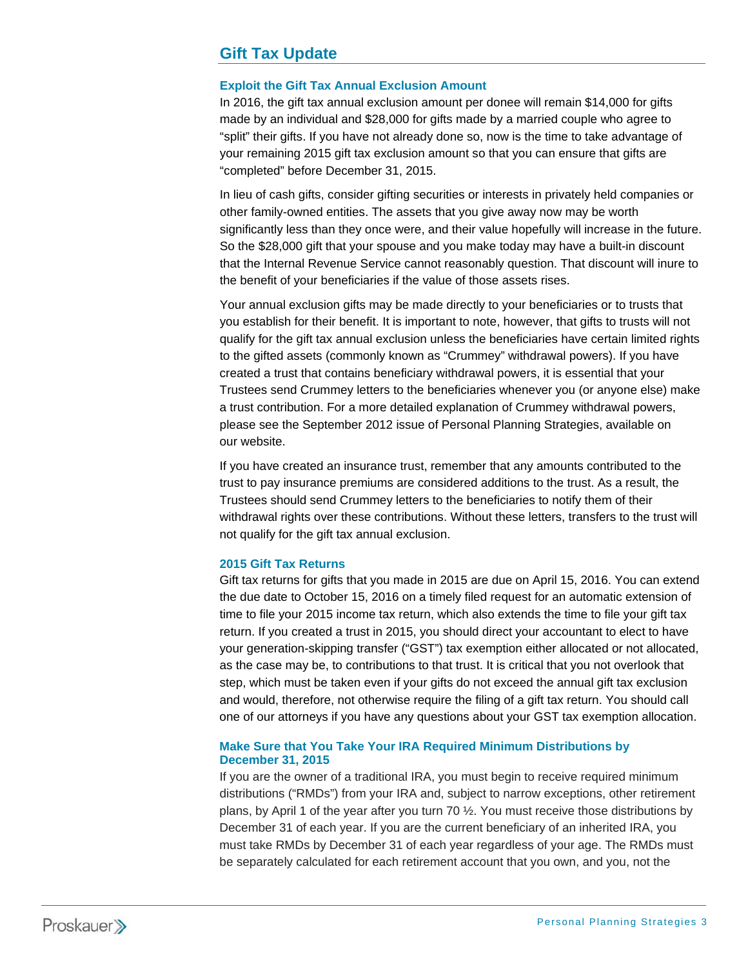# **Gift Tax Update**

## **Exploit the Gift Tax Annual Exclusion Amount**

In 2016, the gift tax annual exclusion amount per donee will remain \$14,000 for gifts made by an individual and \$28,000 for gifts made by a married couple who agree to "split" their gifts. If you have not already done so, now is the time to take advantage of your remaining 2015 gift tax exclusion amount so that you can ensure that gifts are "completed" before December 31, 2015.

In lieu of cash gifts, consider gifting securities or interests in privately held companies or other family-owned entities. The assets that you give away now may be worth significantly less than they once were, and their value hopefully will increase in the future. So the \$28,000 gift that your spouse and you make today may have a built-in discount that the Internal Revenue Service cannot reasonably question. That discount will inure to the benefit of your beneficiaries if the value of those assets rises.

Your annual exclusion gifts may be made directly to your beneficiaries or to trusts that you establish for their benefit. It is important to note, however, that gifts to trusts will not qualify for the gift tax annual exclusion unless the beneficiaries have certain limited rights to the gifted assets (commonly known as "Crummey" withdrawal powers). If you have created a trust that contains beneficiary withdrawal powers, it is essential that your Trustees send Crummey letters to the beneficiaries whenever you (or anyone else) make a trust contribution. For a more detailed explanation of Crummey withdrawal powers, please see the September 2012 issue of Personal Planning Strategies, available on our website.

If you have created an insurance trust, remember that any amounts contributed to the trust to pay insurance premiums are considered additions to the trust. As a result, the Trustees should send Crummey letters to the beneficiaries to notify them of their withdrawal rights over these contributions. Without these letters, transfers to the trust will not qualify for the gift tax annual exclusion.

### **2015 Gift Tax Returns**

Gift tax returns for gifts that you made in 2015 are due on April 15, 2016. You can extend the due date to October 15, 2016 on a timely filed request for an automatic extension of time to file your 2015 income tax return, which also extends the time to file your gift tax return. If you created a trust in 2015, you should direct your accountant to elect to have your generation-skipping transfer ("GST") tax exemption either allocated or not allocated, as the case may be, to contributions to that trust. It is critical that you not overlook that step, which must be taken even if your gifts do not exceed the annual gift tax exclusion and would, therefore, not otherwise require the filing of a gift tax return. You should call one of our attorneys if you have any questions about your GST tax exemption allocation.

## **Make Sure that You Take Your IRA Required Minimum Distributions by December 31, 2015**

If you are the owner of a traditional IRA, you must begin to receive required minimum distributions ("RMDs") from your IRA and, subject to narrow exceptions, other retirement plans, by April 1 of the year after you turn 70 ½. You must receive those distributions by December 31 of each year. If you are the current beneficiary of an inherited IRA, you must take RMDs by December 31 of each year regardless of your age. The RMDs must be separately calculated for each retirement account that you own, and you, not the

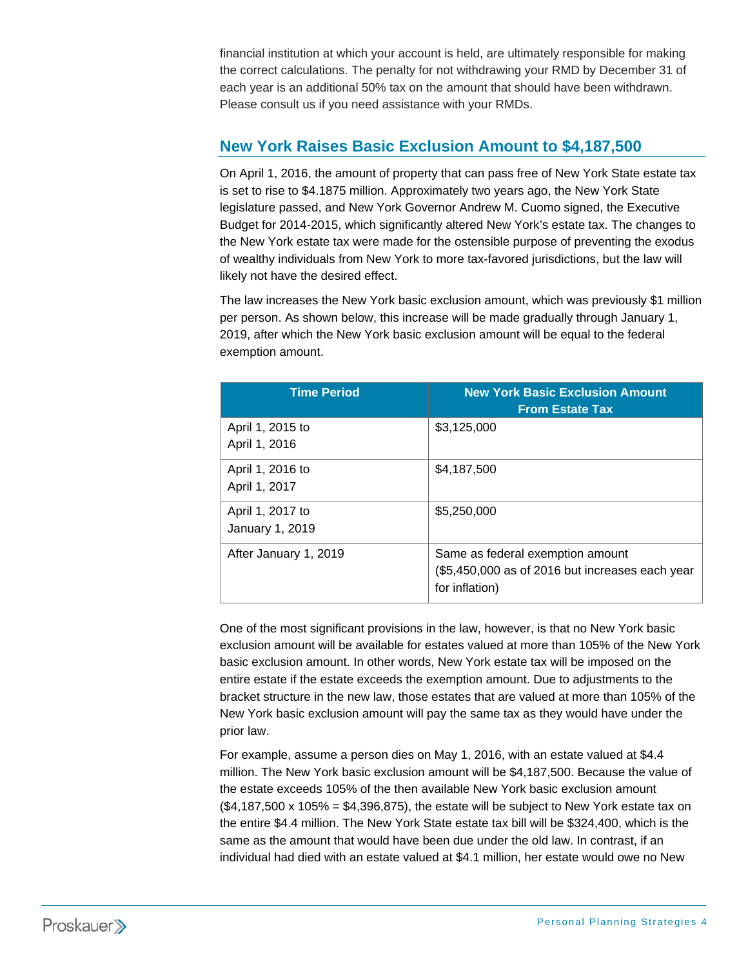financial institution at which your account is held, are ultimately responsible for making the correct calculations. The penalty for not withdrawing your RMD by December 31 of each year is an additional 50% tax on the amount that should have been withdrawn. Please consult us if you need assistance with your RMDs.

# **New York Raises Basic Exclusion Amount to \$4,187,500**

On April 1, 2016, the amount of property that can pass free of New York State estate tax is set to rise to \$4.1875 million. Approximately two years ago, the New York State legislature passed, and New York Governor Andrew M. Cuomo signed, the Executive Budget for 2014-2015, which significantly altered New York's estate tax. The changes to the New York estate tax were made for the ostensible purpose of preventing the exodus of wealthy individuals from New York to more tax-favored jurisdictions, but the law will likely not have the desired effect.

The law increases the New York basic exclusion amount, which was previously \$1 million per person. As shown below, this increase will be made gradually through January 1, 2019, after which the New York basic exclusion amount will be equal to the federal exemption amount.

| <b>Time Period</b>                  | <b>New York Basic Exclusion Amount</b><br><b>From Estate Tax</b>                                      |
|-------------------------------------|-------------------------------------------------------------------------------------------------------|
| April 1, 2015 to<br>April 1, 2016   | \$3,125,000                                                                                           |
| April 1, 2016 to<br>April 1, 2017   | \$4,187,500                                                                                           |
| April 1, 2017 to<br>January 1, 2019 | \$5,250,000                                                                                           |
| After January 1, 2019               | Same as federal exemption amount<br>(\$5,450,000 as of 2016 but increases each year<br>for inflation) |

One of the most significant provisions in the law, however, is that no New York basic exclusion amount will be available for estates valued at more than 105% of the New York basic exclusion amount. In other words, New York estate tax will be imposed on the entire estate if the estate exceeds the exemption amount. Due to adjustments to the bracket structure in the new law, those estates that are valued at more than 105% of the New York basic exclusion amount will pay the same tax as they would have under the prior law.

For example, assume a person dies on May 1, 2016, with an estate valued at \$4.4 million. The New York basic exclusion amount will be \$4,187,500. Because the value of the estate exceeds 105% of the then available New York basic exclusion amount  $(\$4,187,500 \times 105\% = \$4,396,875)$ , the estate will be subject to New York estate tax on the entire \$4.4 million. The New York State estate tax bill will be \$324,400, which is the same as the amount that would have been due under the old law. In contrast, if an individual had died with an estate valued at \$4.1 million, her estate would owe no New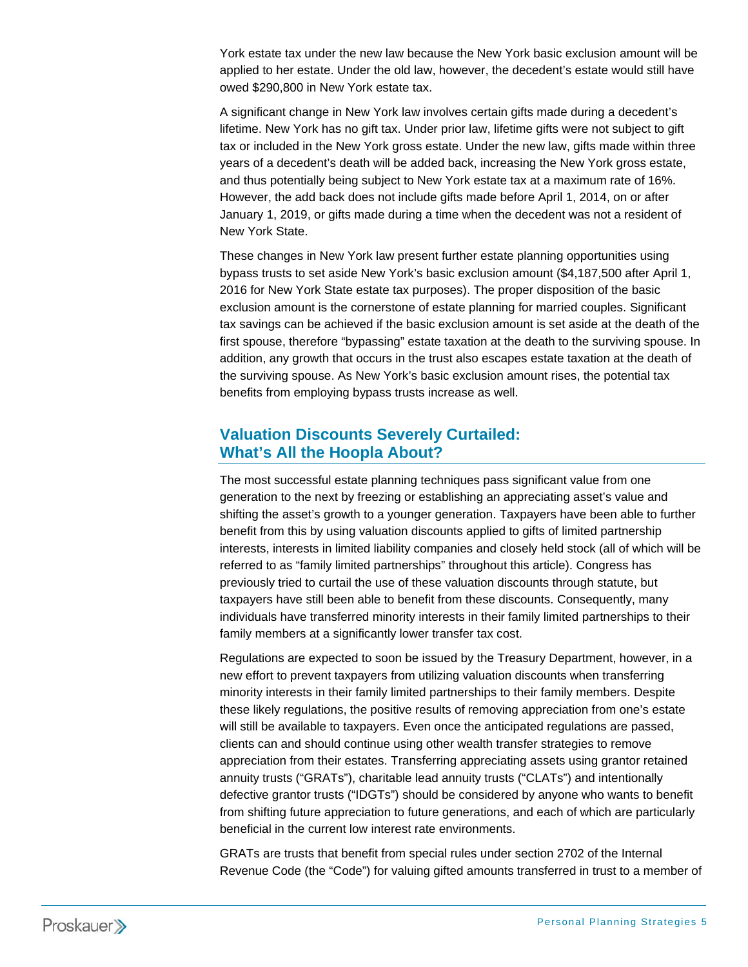York estate tax under the new law because the New York basic exclusion amount will be applied to her estate. Under the old law, however, the decedent's estate would still have owed \$290,800 in New York estate tax.

A significant change in New York law involves certain gifts made during a decedent's lifetime. New York has no gift tax. Under prior law, lifetime gifts were not subject to gift tax or included in the New York gross estate. Under the new law, gifts made within three years of a decedent's death will be added back, increasing the New York gross estate, and thus potentially being subject to New York estate tax at a maximum rate of 16%. However, the add back does not include gifts made before April 1, 2014, on or after January 1, 2019, or gifts made during a time when the decedent was not a resident of New York State.

These changes in New York law present further estate planning opportunities using bypass trusts to set aside New York's basic exclusion amount (\$4,187,500 after April 1, 2016 for New York State estate tax purposes). The proper disposition of the basic exclusion amount is the cornerstone of estate planning for married couples. Significant tax savings can be achieved if the basic exclusion amount is set aside at the death of the first spouse, therefore "bypassing" estate taxation at the death to the surviving spouse. In addition, any growth that occurs in the trust also escapes estate taxation at the death of the surviving spouse. As New York's basic exclusion amount rises, the potential tax benefits from employing bypass trusts increase as well.

## **Valuation Discounts Severely Curtailed: What's All the Hoopla About?**

The most successful estate planning techniques pass significant value from one generation to the next by freezing or establishing an appreciating asset's value and shifting the asset's growth to a younger generation. Taxpayers have been able to further benefit from this by using valuation discounts applied to gifts of limited partnership interests, interests in limited liability companies and closely held stock (all of which will be referred to as "family limited partnerships" throughout this article). Congress has previously tried to curtail the use of these valuation discounts through statute, but taxpayers have still been able to benefit from these discounts. Consequently, many individuals have transferred minority interests in their family limited partnerships to their family members at a significantly lower transfer tax cost.

Regulations are expected to soon be issued by the Treasury Department, however, in a new effort to prevent taxpayers from utilizing valuation discounts when transferring minority interests in their family limited partnerships to their family members. Despite these likely regulations, the positive results of removing appreciation from one's estate will still be available to taxpayers. Even once the anticipated regulations are passed, clients can and should continue using other wealth transfer strategies to remove appreciation from their estates. Transferring appreciating assets using grantor retained annuity trusts ("GRATs"), charitable lead annuity trusts ("CLATs") and intentionally defective grantor trusts ("IDGTs") should be considered by anyone who wants to benefit from shifting future appreciation to future generations, and each of which are particularly beneficial in the current low interest rate environments.

GRATs are trusts that benefit from special rules under section 2702 of the Internal Revenue Code (the "Code") for valuing gifted amounts transferred in trust to a member of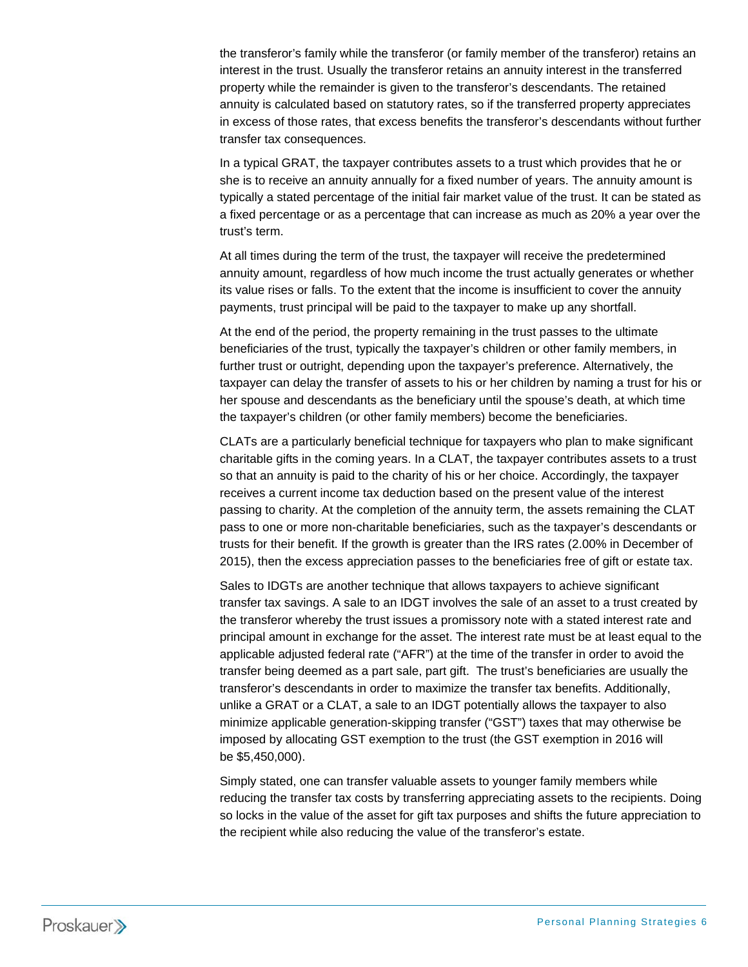the transferor's family while the transferor (or family member of the transferor) retains an interest in the trust. Usually the transferor retains an annuity interest in the transferred property while the remainder is given to the transferor's descendants. The retained annuity is calculated based on statutory rates, so if the transferred property appreciates in excess of those rates, that excess benefits the transferor's descendants without further transfer tax consequences.

In a typical GRAT, the taxpayer contributes assets to a trust which provides that he or she is to receive an annuity annually for a fixed number of years. The annuity amount is typically a stated percentage of the initial fair market value of the trust. It can be stated as a fixed percentage or as a percentage that can increase as much as 20% a year over the trust's term.

At all times during the term of the trust, the taxpayer will receive the predetermined annuity amount, regardless of how much income the trust actually generates or whether its value rises or falls. To the extent that the income is insufficient to cover the annuity payments, trust principal will be paid to the taxpayer to make up any shortfall.

At the end of the period, the property remaining in the trust passes to the ultimate beneficiaries of the trust, typically the taxpayer's children or other family members, in further trust or outright, depending upon the taxpayer's preference. Alternatively, the taxpayer can delay the transfer of assets to his or her children by naming a trust for his or her spouse and descendants as the beneficiary until the spouse's death, at which time the taxpayer's children (or other family members) become the beneficiaries.

CLATs are a particularly beneficial technique for taxpayers who plan to make significant charitable gifts in the coming years. In a CLAT, the taxpayer contributes assets to a trust so that an annuity is paid to the charity of his or her choice. Accordingly, the taxpayer receives a current income tax deduction based on the present value of the interest passing to charity. At the completion of the annuity term, the assets remaining the CLAT pass to one or more non-charitable beneficiaries, such as the taxpayer's descendants or trusts for their benefit. If the growth is greater than the IRS rates (2.00% in December of 2015), then the excess appreciation passes to the beneficiaries free of gift or estate tax.

Sales to IDGTs are another technique that allows taxpayers to achieve significant transfer tax savings. A sale to an IDGT involves the sale of an asset to a trust created by the transferor whereby the trust issues a promissory note with a stated interest rate and principal amount in exchange for the asset. The interest rate must be at least equal to the applicable adjusted federal rate ("AFR") at the time of the transfer in order to avoid the transfer being deemed as a part sale, part gift. The trust's beneficiaries are usually the transferor's descendants in order to maximize the transfer tax benefits. Additionally, unlike a GRAT or a CLAT, a sale to an IDGT potentially allows the taxpayer to also minimize applicable generation-skipping transfer ("GST") taxes that may otherwise be imposed by allocating GST exemption to the trust (the GST exemption in 2016 will be \$5,450,000).

Simply stated, one can transfer valuable assets to younger family members while reducing the transfer tax costs by transferring appreciating assets to the recipients. Doing so locks in the value of the asset for gift tax purposes and shifts the future appreciation to the recipient while also reducing the value of the transferor's estate.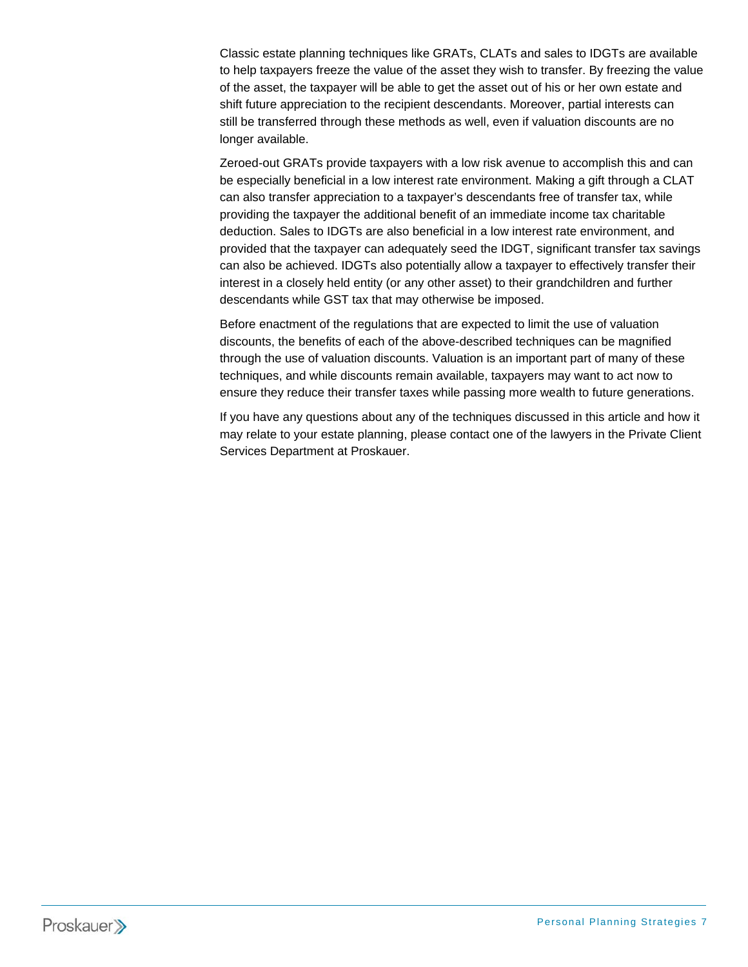Classic estate planning techniques like GRATs, CLATs and sales to IDGTs are available to help taxpayers freeze the value of the asset they wish to transfer. By freezing the value of the asset, the taxpayer will be able to get the asset out of his or her own estate and shift future appreciation to the recipient descendants. Moreover, partial interests can still be transferred through these methods as well, even if valuation discounts are no longer available.

Zeroed-out GRATs provide taxpayers with a low risk avenue to accomplish this and can be especially beneficial in a low interest rate environment. Making a gift through a CLAT can also transfer appreciation to a taxpayer's descendants free of transfer tax, while providing the taxpayer the additional benefit of an immediate income tax charitable deduction. Sales to IDGTs are also beneficial in a low interest rate environment, and provided that the taxpayer can adequately seed the IDGT, significant transfer tax savings can also be achieved. IDGTs also potentially allow a taxpayer to effectively transfer their interest in a closely held entity (or any other asset) to their grandchildren and further descendants while GST tax that may otherwise be imposed.

Before enactment of the regulations that are expected to limit the use of valuation discounts, the benefits of each of the above-described techniques can be magnified through the use of valuation discounts. Valuation is an important part of many of these techniques, and while discounts remain available, taxpayers may want to act now to ensure they reduce their transfer taxes while passing more wealth to future generations.

If you have any questions about any of the techniques discussed in this article and how it may relate to your estate planning, please contact one of the lawyers in the Private Client Services Department at Proskauer.